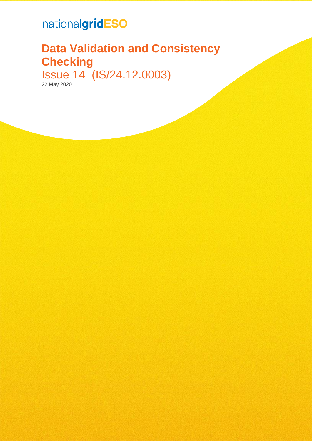# nationalgridESO

# **Data Validation and Consistency Checking** Issue 14 (IS/24.12.0003)

22 May 2020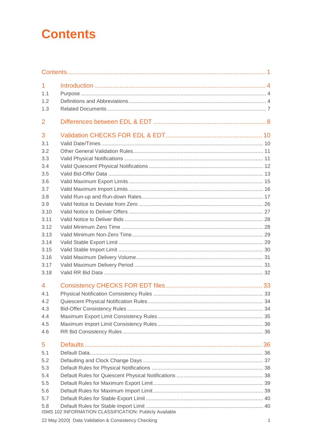# <span id="page-1-0"></span>**Contents**

| $\mathbf{1}$   |                                                         |    |
|----------------|---------------------------------------------------------|----|
| 1.1            |                                                         |    |
| 1.2            |                                                         |    |
| 1.3            |                                                         |    |
| $\overline{2}$ |                                                         |    |
| 3              |                                                         |    |
| 3.1            |                                                         |    |
| 3.2            |                                                         |    |
| 3.3            |                                                         |    |
| 3.4            |                                                         |    |
| 3.5            |                                                         |    |
| 3.6            |                                                         |    |
| 3.7            |                                                         |    |
| 3.8            |                                                         |    |
| 3.9            |                                                         |    |
| 3.10           |                                                         |    |
| 3.11           |                                                         |    |
| 3.12           |                                                         |    |
| 3.13<br>3.14   |                                                         |    |
| 3.15           |                                                         |    |
| 3.16           |                                                         |    |
| 3.17           |                                                         |    |
| 3.18           |                                                         |    |
| 4              |                                                         |    |
| 4.1            |                                                         |    |
| 4.2            |                                                         | 34 |
| 4.3            |                                                         |    |
| 4.4            |                                                         |    |
| 4.5            |                                                         |    |
| 4.6            |                                                         |    |
| 5              |                                                         |    |
| 5.1            |                                                         |    |
| 5.2            |                                                         |    |
| 5.3            |                                                         |    |
| 5.4            |                                                         |    |
| 5.5            |                                                         |    |
| 5.6            |                                                         |    |
| 5.7            |                                                         |    |
| 5.8            | ISMS 102 INFORMATION CLASSIFICATION: Publicly Available |    |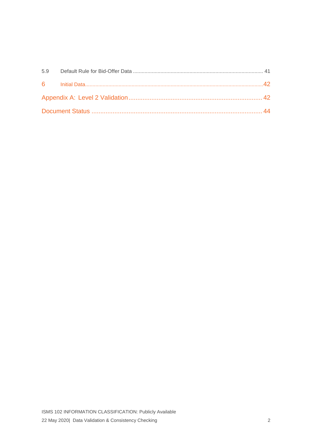| 5.9 |  |  |
|-----|--|--|
|     |  |  |
|     |  |  |
|     |  |  |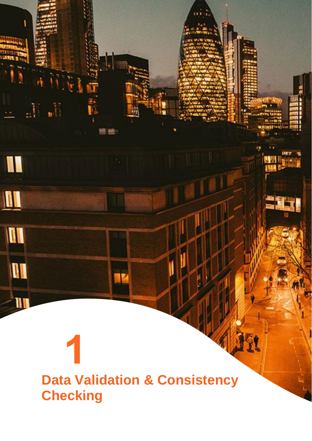# **Data Validation & Consistency Checking**

IK

**Wilm** 

 $\mathbb{R}^N$  ,  $\mathbb{R}^N$ 

 $\blacksquare$ 

 $\blacksquare$ 

II

II

 $-10$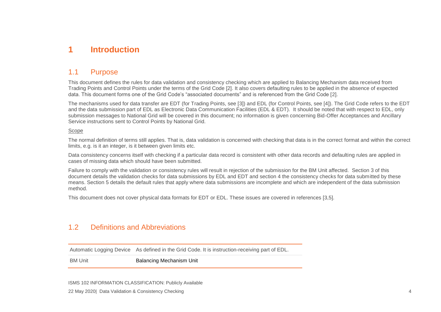# **1 Introduction**

# 1.1 Purpose

This document defines the rules for data validation and consistency checking which are applied to Balancing Mechanism data received from Trading Points and Control Points under the terms of the Grid Code [2]. It also covers defaulting rules to be applied in the absence of expected data. This document forms one of the Grid Code's "associated documents" and is referenced from the Grid Code [\[2\]](#page-7-1).

The mechanisms used for data transfer are EDT (for Trading Points, see [\[3\]](#page-7-2)) and EDL (for Control Points, see [\[4\]](#page-7-3)). The Grid Code refers to the EDT and the data submission part of EDL as Electronic Data Communication Facilities (EDL & EDT). It should be noted that with respect to EDL, only submission messages to National Grid will be covered in this document; no information is given concerning Bid-Offer Acceptances and Ancillary Service instructions sent to Control Points by National Grid.

#### Scope

The normal definition of terms still applies. That is, data validation is concerned with checking that data is in the correct format and within the correct limits, e.g. is it an integer, is it between given limits etc.

Data consistency concerns itself with checking if a particular data record is consistent with other data records and defaulting rules are applied in cases of missing data which should have been submitted.

<span id="page-4-0"></span>Failure to comply with the validation or consistency rules will result in rejection of the submission for the BM Unit affected. Section 3 of this document details the validation checks for data submissions by EDL and EDT and section 4 the consistency checks for data submitted by these means. Section 5 details the default rules that apply where data submissions are incomplete and which are independent of the data submission method.

<span id="page-4-1"></span>This document does not cover physical data formats for EDT or EDL. These issues are covered in references [\[3,](#page-7-2)5].

#### 1.2 Definitions and Abbreviations

Automatic Logging Device As defined in the Grid Code. It is instruction-receiving part of EDL.

<span id="page-4-2"></span>BM Unit **Balancing Mechanism Unit**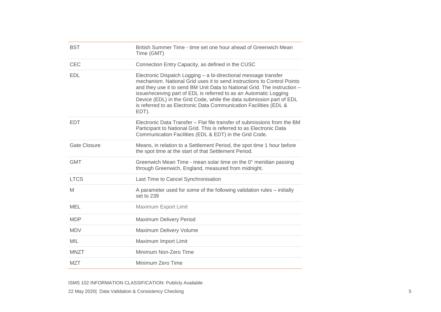| <b>BST</b>   | British Summer Time - time set one hour ahead of Greenwich Mean<br>Time (GMT)                                                                                                                                                                                                                                                                                                                                                                      |
|--------------|----------------------------------------------------------------------------------------------------------------------------------------------------------------------------------------------------------------------------------------------------------------------------------------------------------------------------------------------------------------------------------------------------------------------------------------------------|
| <b>CEC</b>   | Connection Entry Capacity, as defined in the CUSC                                                                                                                                                                                                                                                                                                                                                                                                  |
| <b>EDL</b>   | Electronic Dispatch Logging - a bi-directional message transfer<br>mechanism. National Grid uses it to send instructions to Control Points<br>and they use it to send BM Unit Data to National Grid. The instruction -<br>issue/receiving part of EDL is referred to as an Automatic Logging<br>Device (EDL) in the Grid Code, while the data submission part of EDL<br>is referred to as Electronic Data Communication Facilities (EDL &<br>EDT). |
| <b>EDT</b>   | Electronic Data Transfer – Flat file transfer of submissions from the BM<br>Participant to National Grid. This is referred to as Electronic Data<br>Communication Facilities (EDL & EDT) in the Grid Code.                                                                                                                                                                                                                                         |
| Gate Closure | Means, in relation to a Settlement Period, the spot time 1 hour before<br>the spot time at the start of that Settlement Period.                                                                                                                                                                                                                                                                                                                    |
| <b>GMT</b>   | Greenwich Mean Time - mean solar time on the 0° meridian passing<br>through Greenwich, England, measured from midnight.                                                                                                                                                                                                                                                                                                                            |
| <b>LTCS</b>  | Last Time to Cancel Synchronisation                                                                                                                                                                                                                                                                                                                                                                                                                |
| M            | A parameter used for some of the following validation rules – initially<br>set to 239                                                                                                                                                                                                                                                                                                                                                              |
| MEL          | Maximum Export Limit                                                                                                                                                                                                                                                                                                                                                                                                                               |
| <b>MDP</b>   | Maximum Delivery Period                                                                                                                                                                                                                                                                                                                                                                                                                            |
| <b>MDV</b>   | Maximum Delivery Volume                                                                                                                                                                                                                                                                                                                                                                                                                            |
| <b>MIL</b>   | Maximum Import Limit                                                                                                                                                                                                                                                                                                                                                                                                                               |
| <b>MNZT</b>  | Minimum Non-Zero Time                                                                                                                                                                                                                                                                                                                                                                                                                              |
| <b>MZT</b>   | Minimum Zero Time                                                                                                                                                                                                                                                                                                                                                                                                                                  |

ISMS 102 INFORMATION CLASSIFICATION: Publicly Available 22 May 2020| Data Validation & Consistency Checking 5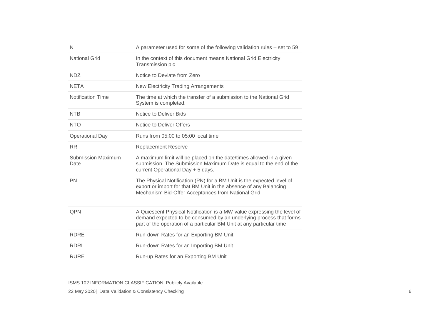| N                                 | A parameter used for some of the following validation rules - set to 59                                                                                                                                               |
|-----------------------------------|-----------------------------------------------------------------------------------------------------------------------------------------------------------------------------------------------------------------------|
| <b>National Grid</b>              | In the context of this document means National Grid Electricity<br>Transmission plc                                                                                                                                   |
| <b>NDZ</b>                        | Notice to Deviate from Zero                                                                                                                                                                                           |
| <b>NETA</b>                       | <b>New Electricity Trading Arrangements</b>                                                                                                                                                                           |
| <b>Notification Time</b>          | The time at which the transfer of a submission to the National Grid<br>System is completed.                                                                                                                           |
| <b>NTB</b>                        | Notice to Deliver Bids                                                                                                                                                                                                |
| <b>NTO</b>                        | Notice to Deliver Offers                                                                                                                                                                                              |
| <b>Operational Day</b>            | Runs from 05:00 to 05:00 local time                                                                                                                                                                                   |
| <b>RR</b>                         | <b>Replacement Reserve</b>                                                                                                                                                                                            |
| <b>Submission Maximum</b><br>Date | A maximum limit will be placed on the date/times allowed in a given<br>submission. The Submission Maximum Date is equal to the end of the<br>current Operational Day + 5 days.                                        |
| <b>PN</b>                         | The Physical Notification (PN) for a BM Unit is the expected level of<br>export or import for that BM Unit in the absence of any Balancing<br>Mechanism Bid-Offer Acceptances from National Grid.                     |
| QPN                               | A Quiescent Physical Notification is a MW value expressing the level of<br>demand expected to be consumed by an underlying process that forms<br>part of the operation of a particular BM Unit at any particular time |
| <b>RDRE</b>                       | Run-down Rates for an Exporting BM Unit                                                                                                                                                                               |
| <b>RDRI</b>                       | Run-down Rates for an Importing BM Unit                                                                                                                                                                               |
| <b>RURE</b>                       | Run-up Rates for an Exporting BM Unit                                                                                                                                                                                 |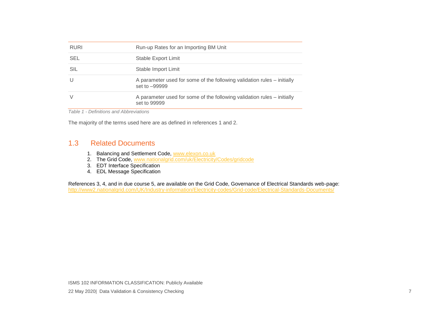| <b>RURI</b> | Run-up Rates for an Importing BM Unit                                                    |
|-------------|------------------------------------------------------------------------------------------|
| <b>SEL</b>  | Stable Export Limit                                                                      |
| SIL         | Stable Import Limit                                                                      |
|             | A parameter used for some of the following validation rules – initially<br>set to -99999 |
| V           | A parameter used for some of the following validation rules – initially<br>set to 99999  |

*Table 1 - Definitions and Abbreviations*

The majority of the terms used here are as defined in references 1 and 2.

#### <span id="page-7-1"></span>1.3 Related Documents

- 1. Balancing and Settlement Code, [www.elexon.co.uk](http://www.elexon.co.uk/)
- 2. The Grid Code, [www.nationalgrid.com/uk/Electricity/Codes/gridcode](http://www.nationalgrid.com/uk/Electricity/Codes/gridcode)
- 3. EDT Interface Specification
- 4. EDL Message Specification

<span id="page-7-3"></span><span id="page-7-2"></span><span id="page-7-0"></span>References 3, 4, and in due course 5, are available on the Grid Code, Governance of Electrical Standards web-page: <http://www2.nationalgrid.com/UK/Industry-information/Electricity-codes/Grid-code/Electrical-Standards-Documents/>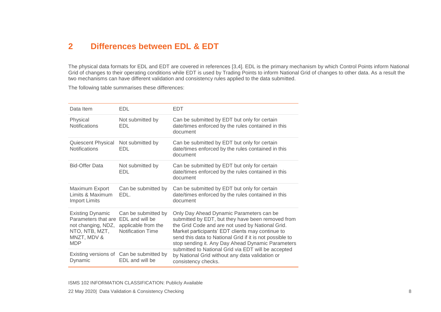# **2 Differences between EDL & EDT**

The physical data formats for EDL and EDT are covered in references [\[3](#page-7-2)[,4\]](#page-7-3). EDL is the primary mechanism by which Control Points inform National Grid of changes to their operating conditions while EDT is used by Trading Points to inform National Grid of changes to other data. As a result the two mechanisms can have different validation and consistency rules applied to the data submitted.

The following table summarises these differences:

<span id="page-8-0"></span>

| Data Item                                                                                                           | <b>EDL</b>                                                                                | <b>EDT</b>                                                                                                                                                                                                                                                                                                             |
|---------------------------------------------------------------------------------------------------------------------|-------------------------------------------------------------------------------------------|------------------------------------------------------------------------------------------------------------------------------------------------------------------------------------------------------------------------------------------------------------------------------------------------------------------------|
| Physical<br><b>Notifications</b>                                                                                    | Not submitted by<br>EDL                                                                   | Can be submitted by EDT but only for certain<br>date/times enforced by the rules contained in this<br>document                                                                                                                                                                                                         |
| Quiescent Physical<br><b>Notifications</b>                                                                          | Not submitted by<br>EDL                                                                   | Can be submitted by EDT but only for certain<br>date/times enforced by the rules contained in this<br>document                                                                                                                                                                                                         |
| <b>Bid-Offer Data</b>                                                                                               | Not submitted by<br><b>EDL</b>                                                            | Can be submitted by EDT but only for certain<br>date/times enforced by the rules contained in this<br>document                                                                                                                                                                                                         |
| Maximum Export<br>Limits & Maximum<br><b>Import Limits</b>                                                          | Can be submitted by<br>EDL.                                                               | Can be submitted by EDT but only for certain<br>date/times enforced by the rules contained in this<br>document                                                                                                                                                                                                         |
| <b>Existing Dynamic</b><br>Parameters that are<br>not changing, NDZ,<br>NTO, NTB, MZT,<br>MNZT, MDV &<br><b>MDP</b> | Can be submitted by<br>EDL and will be<br>applicable from the<br><b>Notification Time</b> | Only Day Ahead Dynamic Parameters can be<br>submitted by EDT, but they have been removed from<br>the Grid Code and are not used by National Grid.<br>Market participants' EDT clients may continue to<br>send this data to National Grid if it is not possible to<br>stop sending it. Any Day Ahead Dynamic Parameters |
| Dynamic                                                                                                             | Existing versions of Can be submitted by<br>EDL and will be                               | submitted to National Grid via EDT will be accepted<br>by National Grid without any data validation or<br>consistency checks.                                                                                                                                                                                          |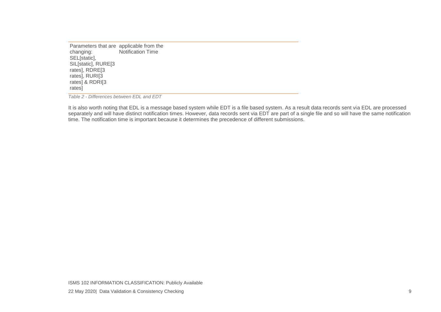Parameters that are applicable from the changing: SEL<sub>[static],</sub> SIL<sub>[static]</sub>, RURE<sub>[3</sub> rates], RDRE[3 rates], RURI[3 rates] & RDRI[3 rates] Notification Time

*Table 2 - Differences between EDL and EDT*

It is also worth noting that EDL is a message based system while EDT is a file based system. As a result data records sent via EDL are processed separately and will have distinct notification times. However, data records sent via EDT are part of a single file and so will have the same notification time. The notification time is important because it determines the precedence of different submissions.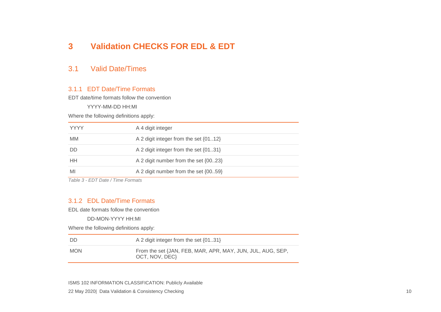# **3 Validation CHECKS FOR EDL & EDT**

#### 3.1 Valid Date/Times

#### 3.1.1 EDT Date/Time Formats

EDT date/time formats follow the convention

YYYY-MM-DD HH:MI

Where the following definitions apply:

| YYYY      | A 4 digit integer                     |
|-----------|---------------------------------------|
| <b>MM</b> | A 2 digit integer from the set {0112} |
| DD        | A 2 digit integer from the set {0131} |
| HН        | A 2 digit number from the set {0023}  |
| MI        | A 2 digit number from the set {0059}  |

<span id="page-10-0"></span>*Table 3 - EDT Date / Time Formats*

#### <span id="page-10-1"></span>3.1.2 EDL Date/Time Formats

EDL date formats follow the convention

DD-MON-YYYY HH:MI

Where the following definitions apply:

| - DD       | A 2 digit integer from the set {0131}                                        |
|------------|------------------------------------------------------------------------------|
| <b>MON</b> | From the set {JAN, FEB, MAR, APR, MAY, JUN, JUL, AUG, SEP,<br>OCT, NOV, DEC} |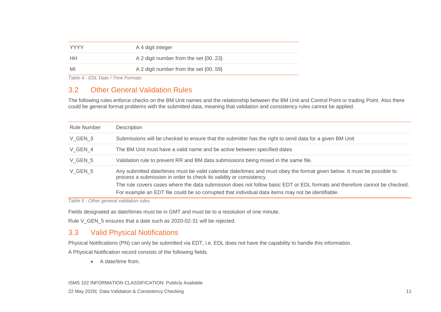| <b>YYYY</b> | A 4 digit integer                    |
|-------------|--------------------------------------|
| <b>HH</b>   | A 2 digit number from the set {0023} |
| MI          | A 2 digit number from the set {0059} |

*Table 4 - EDL Date / Time Formats*

# 3.2 Other General Validation Rules

The following rules enforce checks on the BM Unit names and the relationship between the BM Unit and Control Point or trading Point. Also there could be general format problems with the submitted data, meaning that validation and consistency rules cannot be applied.

| <b>Rule Number</b> | Description                                                                                                                                                                                                                    |
|--------------------|--------------------------------------------------------------------------------------------------------------------------------------------------------------------------------------------------------------------------------|
| V GEN 3            | Submissions will be checked to ensure that the submitter has the right to send data for a given BM Unit                                                                                                                        |
| V GEN 4            | The BM Unit must have a valid name and be active between specified dates                                                                                                                                                       |
| V GEN 5            | Validation rule to prevent RR and BM data submissions being mixed in the same file.                                                                                                                                            |
| V GEN 5            | Any submitted date/times must be valid calendar date/times and must obey the format given below. It must be possible to<br>process a submission in order to check its validity or consistency.                                 |
|                    | The rule covers cases where the data submission does not follow basic EDT or EDL formats and therefore cannot be checked.<br>For example an EDT file could be so corrupted that individual data items may not be identifiable. |

*Table 5 - Other general validation rules*

Fields designated as date/times must be in GMT and must be to a resolution of one minute.

<span id="page-11-0"></span>Rule V\_GEN\_5 ensures that a date such as 2020-02-31 will be rejected.

#### 3.3 Valid Physical Notifications

Physical Notifications (PN) can only be submitted via EDT, i.e. EDL does not have the capability to handle this information.

A Physical Notification record consists of the following fields.

<span id="page-11-1"></span>• A date/time from.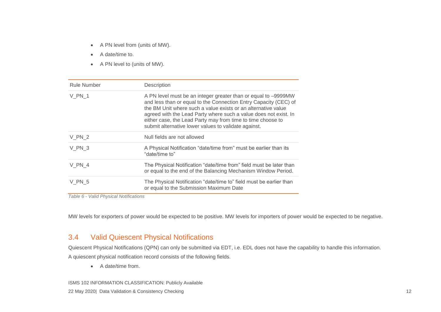- A PN level from (units of MW).
- A date/time to.
- A PN level to (units of MW).

| <b>Rule Number</b> | Description                                                                                                                                                                                                                                                                                                                                                                                    |
|--------------------|------------------------------------------------------------------------------------------------------------------------------------------------------------------------------------------------------------------------------------------------------------------------------------------------------------------------------------------------------------------------------------------------|
| <b>V PN 1</b>      | A PN level must be an integer greater than or equal to -9999MW<br>and less than or equal to the Connection Entry Capacity (CEC) of<br>the BM Unit where such a value exists or an alternative value<br>agreed with the Lead Party where such a value does not exist. In<br>either case, the Lead Party may from time to time choose to<br>submit alternative lower values to validate against. |
| V PN 2             | Null fields are not allowed                                                                                                                                                                                                                                                                                                                                                                    |
| V PN 3             | A Physical Notification "date/time from" must be earlier than its<br>"date/time to"                                                                                                                                                                                                                                                                                                            |
| V PN 4             | The Physical Notification "date/time from" field must be later than<br>or equal to the end of the Balancing Mechanism Window Period.                                                                                                                                                                                                                                                           |
| V PN 5             | The Physical Notification "date/time to" field must be earlier than<br>or equal to the Submission Maximum Date                                                                                                                                                                                                                                                                                 |

*Table 6 - Valid Physical Notifications*

MW levels for exporters of power would be expected to be positive. MW levels for importers of power would be expected to be negative.

#### 3.4 Valid Quiescent Physical Notifications

Quiescent Physical Notifications (QPN) can only be submitted via EDT, i.e. EDL does not have the capability to handle this information. A quiescent physical notification record consists of the following fields.

<span id="page-12-0"></span>• A date/time from.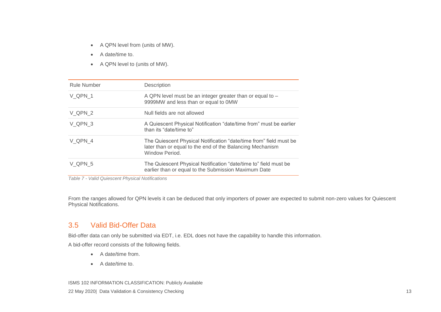- A QPN level from (units of MW).
- A date/time to.
- A QPN level to (units of MW).

| <b>Rule Number</b> | Description                                                                                                                                       |
|--------------------|---------------------------------------------------------------------------------------------------------------------------------------------------|
| V QPN 1            | A QPN level must be an integer greater than or equal to –<br>9999MW and less than or equal to 0MW                                                 |
| V QPN 2            | Null fields are not allowed                                                                                                                       |
| V QPN 3            | A Quiescent Physical Notification "date/time from" must be earlier<br>than its "date/time to"                                                     |
| V QPN 4            | The Quiescent Physical Notification "date/time from" field must be<br>later than or equal to the end of the Balancing Mechanism<br>Window Period. |
| V QPN 5            | The Quiescent Physical Notification "date/time to" field must be<br>earlier than or equal to the Submission Maximum Date                          |

*Table 7 - Valid Quiescent Physical Notifications*

From the ranges allowed for QPN levels it can be deduced that only importers of power are expected to submit non-zero values for Quiescent Physical Notifications.

#### 3.5 Valid Bid-Offer Data

Bid-offer data can only be submitted via EDT, i.e. EDL does not have the capability to handle this information.

A bid-offer record consists of the following fields.

- A date/time from.
- <span id="page-13-0"></span>• A date/time to.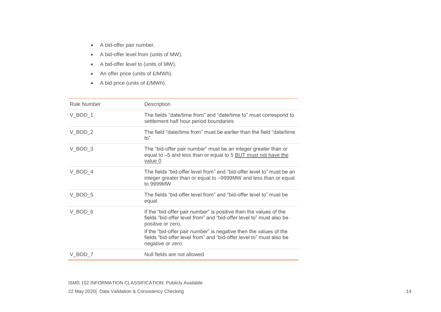- A bid-offer pair number.
- A bid-offer level from (units of MW).
- A bid-offer level to (units of MW).
- An offer price (units of £/MWh).
- A bid price (units of £/MWh).

| Rule Number | Description                                                                                                                                                                                                                                                                                                                    |
|-------------|--------------------------------------------------------------------------------------------------------------------------------------------------------------------------------------------------------------------------------------------------------------------------------------------------------------------------------|
| V BOD 1     | The fields "date/time from" and "date/time to" must correspond to<br>settlement half hour period boundaries                                                                                                                                                                                                                    |
| $V_BOD_2$   | The field "date/time from" must be earlier than the field "date/time"<br>to"                                                                                                                                                                                                                                                   |
| V BOD 3     | The "bid-offer pair number" must be an integer greater than or<br>equal to -5 and less than or equal to 5 BUT must not have the<br>value 0                                                                                                                                                                                     |
| V BOD 4     | The fields "bid-offer level from" and "bid-offer level to" must be an<br>integer greater than or equal to -9999MW and less than or equal<br>to 9999MW                                                                                                                                                                          |
| $V_BOD_5$   | The fields "bid-offer level from" and "bid-offer level to" must be<br>equal                                                                                                                                                                                                                                                    |
| $V_BOD_6$   | If the "bid-offer pair number" is positive then the values of the<br>fields "bid-offer level from" and "bid-offer level to" must also be<br>positive or zero.<br>If the "bid-offer pair number" is negative then the values of the<br>fields "bid-offer level from" and "bid-offer level to" must also be<br>negative or zero. |
| V BOD 7     | Null fields are not allowed                                                                                                                                                                                                                                                                                                    |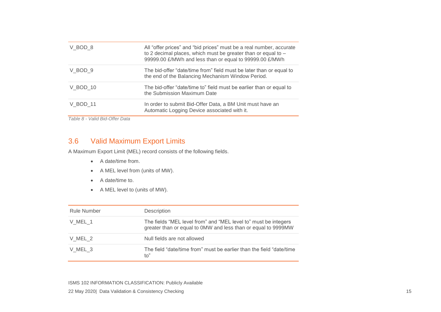| V BOD 8  | All "offer prices" and "bid prices" must be a real number, accurate<br>to 2 decimal places, which must be greater than or equal to -<br>99999.00 £/MWh and less than or equal to 99999.00 £/MWh |
|----------|-------------------------------------------------------------------------------------------------------------------------------------------------------------------------------------------------|
| V BOD 9  | The bid-offer "date/time from" field must be later than or equal to<br>the end of the Balancing Mechanism Window Period.                                                                        |
| V BOD 10 | The bid-offer "date/time to" field must be earlier than or equal to<br>the Submission Maximum Date                                                                                              |
| V BOD 11 | In order to submit Bid-Offer Data, a BM Unit must have an<br>Automatic Logging Device associated with it.                                                                                       |

*Table 8 - Valid Bid-Offer Data*

## 3.6 Valid Maximum Export Limits

A Maximum Export Limit (MEL) record consists of the following fields.

- A date/time from.
- A MEL level from (units of MW).
- A date/time to.
- A MEL level to (units of MW).

<span id="page-15-0"></span>

| <b>Rule Number</b> | Description                                                                                                                      |
|--------------------|----------------------------------------------------------------------------------------------------------------------------------|
| V MEL 1            | The fields "MEL level from" and "MEL level to" must be integers<br>greater than or equal to 0MW and less than or equal to 9999MW |
| V MEL 2            | Null fields are not allowed                                                                                                      |
| V MEL 3            | The field "date/time from" must be earlier than the field "date/time"<br>to"                                                     |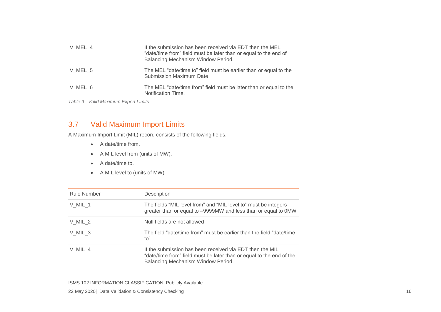| V MEL 4 | If the submission has been received via EDT then the MEL<br>"date/time from" field must be later than or equal to the end of<br>Balancing Mechanism Window Period. |
|---------|--------------------------------------------------------------------------------------------------------------------------------------------------------------------|
| V MEL 5 | The MEL "date/time to" field must be earlier than or equal to the<br><b>Submission Maximum Date</b>                                                                |
| V MEL 6 | The MEL "date/time from" field must be later than or equal to the<br>Notification Time.                                                                            |

*Table 9 - Valid Maximum Export Limits*

## 3.7 Valid Maximum Import Limits

A Maximum Import Limit (MIL) record consists of the following fields.

- A date/time from.
- A MIL level from (units of MW).
- A date/time to.
- A MIL level to (units of MW).

<span id="page-16-0"></span>

| <b>Rule Number</b> | Description                                                                                                                                                            |
|--------------------|------------------------------------------------------------------------------------------------------------------------------------------------------------------------|
| V MIL 1            | The fields "MIL level from" and "MIL level to" must be integers<br>greater than or equal to -9999MW and less than or equal to 0MW                                      |
| V MIL 2            | Null fields are not allowed                                                                                                                                            |
| V MIL 3            | The field "date/time from" must be earlier than the field "date/time"<br>to"                                                                                           |
| $V$ MIL 4          | If the submission has been received via EDT then the MIL<br>"date/time from" field must be later than or equal to the end of the<br>Balancing Mechanism Window Period. |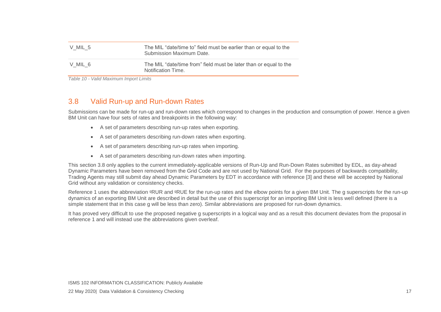| V MIL 5 | The MIL "date/time to" field must be earlier than or equal to the<br>Submission Maximum Date. |
|---------|-----------------------------------------------------------------------------------------------|
| V MIL 6 | The MIL "date/time from" field must be later than or equal to the<br>Notification Time.       |

*Table 10 - Valid Maximum Import Limits*

# 3.8 Valid Run-up and Run-down Rates

Submissions can be made for run-up and run-down rates which correspond to changes in the production and consumption of power. Hence a given BM Unit can have four sets of rates and breakpoints in the following way:

- A set of parameters describing run-up rates when exporting.
- A set of parameters describing run-down rates when exporting.
- A set of parameters describing run-up rates when importing.
- A set of parameters describing run-down rates when importing.

This section 3.8 only applies to the current immediately-applicable versions of Run-Up and Run-Down Rates submitted by EDL, as day-ahead Dynamic Parameters have been removed from the Grid Code and are not used by National Grid. For the purposes of backwards compatibility, Trading Agents may still submit day ahead Dynamic Parameters by EDT in accordance with reference [3] and these will be accepted by National Grid without any validation or consistency checks.

Reference 1 uses the abbreviation <sup>g</sup>RUR and <sup>g</sup>RUE for the run-up rates and the elbow points for a given BM Unit. The g superscripts for the run-up dynamics of an exporting BM Unit are described in detail but the use of this superscript for an importing BM Unit is less well defined (there is a simple statement that in this case g will be less than zero). Similar abbreviations are proposed for run-down dynamics.

<span id="page-17-0"></span>It has proved very difficult to use the proposed negative g superscripts in a logical way and as a result this document deviates from the proposal in reference 1 and will instead use the abbreviations given overleaf.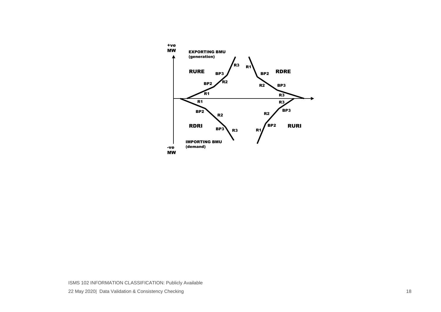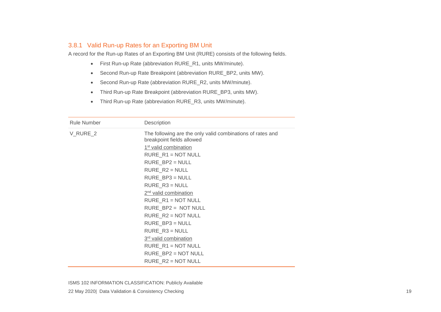#### 3.8.1 Valid Run-up Rates for an Exporting BM Unit

A record for the Run-up Rates of an Exporting BM Unit (RURE) consists of the following fields.

- First Run-up Rate (abbreviation RURE\_R1, units MW/minute).
- Second Run-up Rate Breakpoint (abbreviation RURE BP2, units MW).
- Second Run-up Rate (abbreviation RURE\_R2, units MW/minute).
- Third Run-up Rate Breakpoint (abbreviation RURE\_BP3, units MW).
- Third Run-up Rate (abbreviation RURE\_R3, units MW/minute).

| <b>Rule Number</b> | Description                                                                             |
|--------------------|-----------------------------------------------------------------------------------------|
| V_RURE_2           | The following are the only valid combinations of rates and<br>breakpoint fields allowed |
|                    | 1 <sup>st</sup> valid combination                                                       |
|                    | $RURE_R1 = NOT NULL$                                                                    |
|                    | $RURE_BP2 = NULL$                                                                       |
|                    | $RURE_R2 = NULL$                                                                        |
|                    | $RURE_BP3 = NULL$                                                                       |
|                    | $RURE_R3 = NULL$                                                                        |
|                    | 2 <sup>nd</sup> valid combination                                                       |
|                    | $RURE_R1 = NOT NULL$                                                                    |
|                    | RURE_BP2 = NOT NULL                                                                     |
|                    | RURE $R2 = NOT NULL$                                                                    |
|                    | $RURE_BP3 = NULL$                                                                       |
|                    | $RURE_R3 = NULL$                                                                        |
|                    | 3rd valid combination                                                                   |
|                    | $RURE_R1 = NOT NULL$                                                                    |
|                    | $RURE_BP2 = NOT NULL$                                                                   |
|                    | RURE $R2 = NOT NULL$                                                                    |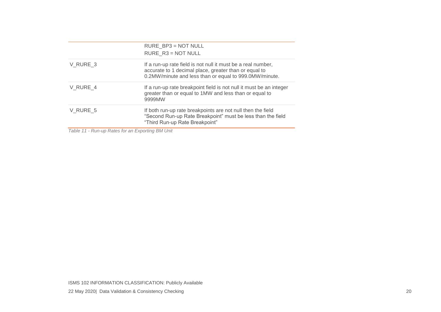|          | RURE_BP3 = NOT NULL                                                                                                                                                             |
|----------|---------------------------------------------------------------------------------------------------------------------------------------------------------------------------------|
|          | RURE $R3 = NOT NULL$                                                                                                                                                            |
| V RURE 3 | If a run-up rate field is not null it must be a real number,<br>accurate to 1 decimal place, greater than or equal to<br>0.2MW/minute and less than or equal to 999.0MW/minute. |
| V RURE 4 | If a run-up rate breakpoint field is not null it must be an integer<br>greater than or equal to 1MW and less than or equal to<br>9999MW                                         |
| V RURE 5 | If both run-up rate breakpoints are not null then the field<br>"Second Run-up Rate Breakpoint" must be less than the field<br>"Third Run-up Rate Breakpoint"                    |
| $   -$   |                                                                                                                                                                                 |

*Table 11 - Run-up Rates for an Exporting BM Unit*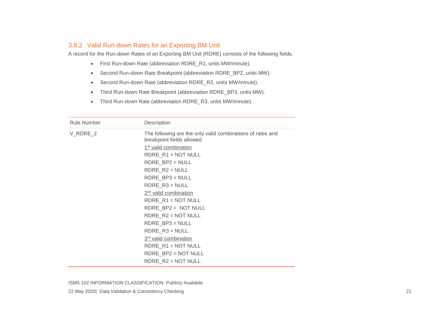#### 3.8.2 Valid Run-down Rates for an Exporting BM Unit

A record for the Run-down Rates of an Exporting BM Unit (RDRE) consists of the following fields.

- First Run-down Rate (abbreviation RDRE\_R1, units MW/minute).
- Second Run-down Rate Breakpoint (abbreviation RDRE\_BP2, units MW).
- Second Run-down Rate (abbreviation RDRE\_R2, units MW/minute).
- Third Run-down Rate Breakpoint (abbreviation RDRE\_BP3, units MW).
- Third Run-down Rate (abbreviation RDRE\_R3, units MW/minute).

| <b>Rule Number</b> | Description                                                                                                                                          |
|--------------------|------------------------------------------------------------------------------------------------------------------------------------------------------|
| V_RDRE_2           | The following are the only valid combinations of rates and<br>breakpoint fields allowed<br>1 <sup>st</sup> valid combination<br>$RDRE_R1 = NOT NULL$ |
|                    | $RDRE_BP2 = NULL$                                                                                                                                    |
|                    | $RDRE_R2 = NULL$                                                                                                                                     |
|                    | $RDRE_BP3 = NULL$<br>$RDRE_R3 = NULL$                                                                                                                |
|                    | 2 <sup>nd</sup> valid combination                                                                                                                    |
|                    | $RDRE_R1 = NOT NULL$                                                                                                                                 |
|                    | RDRE_BP2 = NOT NULL                                                                                                                                  |
|                    | RDRE $R2 = NOT NULL$                                                                                                                                 |
|                    | $RDRE_BP3 = NULL$                                                                                                                                    |
|                    | $RDRE_R3 = NULL$                                                                                                                                     |
|                    | 3rd valid combination                                                                                                                                |
|                    | $RDRE_R1 = NOT NULL$                                                                                                                                 |
|                    | $RDRE_BP2 = NOT NULL$                                                                                                                                |
|                    | RDRE $R2 = NOT NULL$                                                                                                                                 |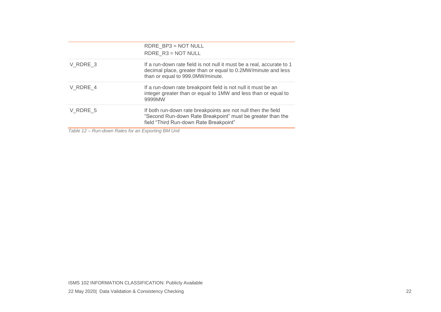|          | RDRE BP3 = NOT NULL                                                                                                                                                        |
|----------|----------------------------------------------------------------------------------------------------------------------------------------------------------------------------|
|          | RDRE $R3 = NOT NULL$                                                                                                                                                       |
| V RDRE 3 | If a run-down rate field is not null it must be a real, accurate to 1<br>decimal place, greater than or equal to 0.2MW/minute and less<br>than or equal to 999.0MW/minute. |
| V RDRE 4 | If a run-down rate breakpoint field is not null it must be an<br>integer greater than or equal to 1MW and less than or equal to<br>9999MW                                  |
| V RDRE 5 | If both run-down rate breakpoints are not null then the field<br>"Second Run-down Rate Breakpoint" must be greater than the<br>field "Third Run-down Rate Breakpoint"      |
|          |                                                                                                                                                                            |

*Table 12 – Run-down Rates for an Exporting BM Unit*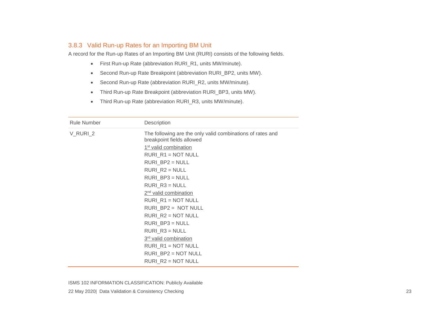#### 3.8.3 Valid Run-up Rates for an Importing BM Unit

A record for the Run-up Rates of an Importing BM Unit (RURI) consists of the following fields.

- First Run-up Rate (abbreviation RURI\_R1, units MW/minute).
- Second Run-up Rate Breakpoint (abbreviation RURI\_BP2, units MW).
- Second Run-up Rate (abbreviation RURI\_R2, units MW/minute).
- Third Run-up Rate Breakpoint (abbreviation RURI\_BP3, units MW).
- Third Run-up Rate (abbreviation RURI\_R3, units MW/minute).

| <b>Rule Number</b> | Description                                                                             |
|--------------------|-----------------------------------------------------------------------------------------|
| V_RURI_2           | The following are the only valid combinations of rates and<br>breakpoint fields allowed |
|                    | 1 <sup>st</sup> valid combination                                                       |
|                    | $RURI_R1 = NOT NULL$                                                                    |
|                    | $RURI_BP2 = NULL$                                                                       |
|                    | $RURI_R2 = NULL$                                                                        |
|                    | $RURI_BP3 = NULL$                                                                       |
|                    | $RURI_R3 = NULL$                                                                        |
|                    | 2 <sup>nd</sup> valid combination                                                       |
|                    | $RURI_R1 = NOT NULL$                                                                    |
|                    | RURI_BP2 = NOT NULL                                                                     |
|                    | $RURI_R2 = NOT NULL$                                                                    |
|                    | $RURI_BP3 = NULL$                                                                       |
|                    | $RURI_R3 = NULL$                                                                        |
|                    | 3rd valid combination                                                                   |
|                    | $RURI_R1 = NOT NULL$                                                                    |
|                    | RURI_BP2 = NOT NULL                                                                     |
|                    | $RURI R2 = NOT NULL$                                                                    |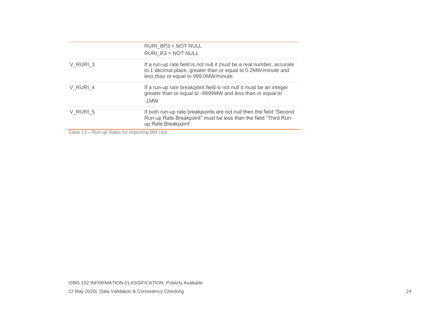|          | RURI BP3 = NOT NULL<br>$RURI$ $R3 = NOT NULL$                                                                                                                                   |
|----------|---------------------------------------------------------------------------------------------------------------------------------------------------------------------------------|
| V RURI 3 | If a run-up rate field is not null it must be a real number, accurate<br>to 1 decimal place, greater than or equal to 0.2MW/minute and<br>less than or equal to 999.0MW/minute. |
| V RURI 4 | If a run-up rate breakpoint field is not null it must be an integer<br>greater than or equal to -9999MW and less than or equal to<br>$-1$ MW                                    |
| V RURI 5 | If both run-up rate breakpoints are not null then the field "Second"<br>Run-up Rate Breakpoint" must be less than the field "Third Run-<br>up Rate Breakpoint"                  |

*Table 13 – Run-up Rates for Importing BM Unit*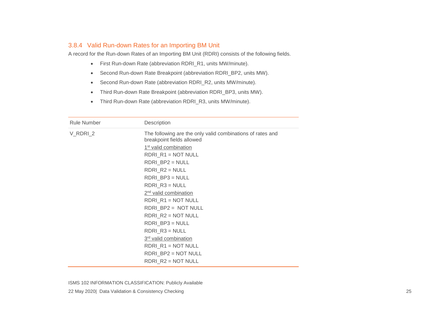#### 3.8.4 Valid Run-down Rates for an Importing BM Unit

A record for the Run-down Rates of an Importing BM Unit (RDRI) consists of the following fields.

- First Run-down Rate (abbreviation RDRI\_R1, units MW/minute).
- Second Run-down Rate Breakpoint (abbreviation RDRI\_BP2, units MW).
- Second Run-down Rate (abbreviation RDRI\_R2, units MW/minute).
- Third Run-down Rate Breakpoint (abbreviation RDRI\_BP3, units MW).
- Third Run-down Rate (abbreviation RDRI\_R3, units MW/minute).

| <b>Rule Number</b> | Description                                                                             |
|--------------------|-----------------------------------------------------------------------------------------|
| V_RDRI_2           | The following are the only valid combinations of rates and<br>breakpoint fields allowed |
|                    | 1 <sup>st</sup> valid combination                                                       |
|                    | $RDRI_R1 = NOT NULL$                                                                    |
|                    | $RDRI_BP2 = NULL$                                                                       |
|                    | $RDRI_R2 = NULL$                                                                        |
|                    | $RDRI_BP3 = NULL$                                                                       |
|                    | $RDRI_R3 = NULL$                                                                        |
|                    | 2 <sup>nd</sup> valid combination                                                       |
|                    | RDRI $R1 = NOT NULL$                                                                    |
|                    | RDRI_BP2 = NOT NULL                                                                     |
|                    | $RDRI_R2 = NOT NULL$                                                                    |
|                    | $RDRI_BP3 = NULL$                                                                       |
|                    | $RDRI_R3 = NULL$                                                                        |
|                    | 3rd valid combination                                                                   |
|                    | $RDRI_R1 = NOT NULL$                                                                    |
|                    | RDRI_BP2 = NOT NULL                                                                     |
|                    | $RDRI_R2 = NOT NULL$                                                                    |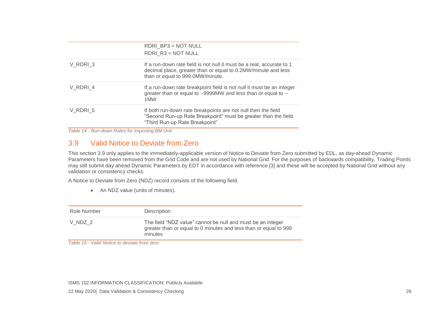|          | RDRI_BP3 = NOT NULL<br>RDRI $R3 = NOT NULL$                                                                                                                                |
|----------|----------------------------------------------------------------------------------------------------------------------------------------------------------------------------|
| V RDRI 3 | If a run-down rate field is not null it must be a real, accurate to 1<br>decimal place, greater than or equal to 0.2MW/minute and less<br>than or equal to 999.0MW/minute. |
| V RDRI 4 | If a run-down rate breakpoint field is not null it must be an integer<br>greater than or equal to -9999MW and less than or equal to -<br>1MW                               |
| V RDRI 5 | If both run-down rate breakpoints are not null then the field<br>"Second Run-up Rate Breakpoint" must be greater than the field<br>"Third Run-up Rate Breakpoint"          |

*Table 14 - Run-down Rates for Importing BM Unit*

#### 3.9 Valid Notice to Deviate from Zero

This section 3.9 only applies to the immediately-applicable version of Notice to Deviate from Zero submitted by EDL, as day-ahead Dynamic Parameters have been removed from the Grid Code and are not used by National Grid. For the purposes of backwards compatibility, Trading Points may still submit day ahead Dynamic Parameters by EDT in accordance with reference [3] and these will be accepted by National Grid without any validation or consistency checks.

A Notice to Deviate from Zero (NDZ) record consists of the following field.

• An NDZ value (units of minutes).

| <b>Rule Number</b> | Description                                                                                                                                |
|--------------------|--------------------------------------------------------------------------------------------------------------------------------------------|
| V NDZ 2            | The field "NDZ value" cannot be null and must be an integer<br>greater than or equal to 0 minutes and less than or equal to 999<br>minutes |

<span id="page-26-0"></span>*Table 15 - Valid Notice to deviate from zero*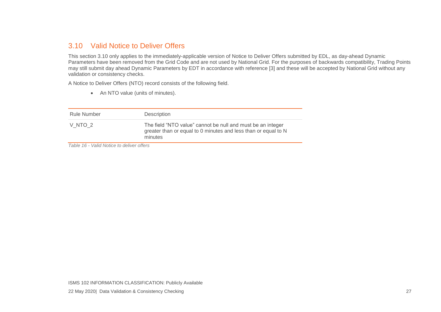#### 3.10 Valid Notice to Deliver Offers

This section 3.10 only applies to the immediately-applicable version of Notice to Deliver Offers submitted by EDL, as day-ahead Dynamic Parameters have been removed from the Grid Code and are not used by National Grid. For the purposes of backwards compatibility, Trading Points may still submit day ahead Dynamic Parameters by EDT in accordance with reference [3] and these will be accepted by National Grid without any validation or consistency checks.

A Notice to Deliver Offers (NTO) record consists of the following field.

• An NTO value (units of minutes).

| Rule Number | Description                                                                                                                              |
|-------------|------------------------------------------------------------------------------------------------------------------------------------------|
| V NTO 2     | The field "NTO value" cannot be null and must be an integer<br>greater than or equal to 0 minutes and less than or equal to N<br>minutes |

<span id="page-27-0"></span>*Table 16 - Valid Notice to deliver offers*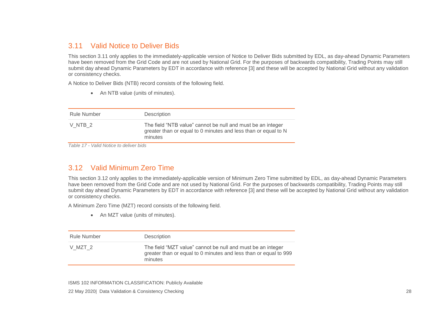#### 3.11 Valid Notice to Deliver Bids

This section 3.11 only applies to the immediately-applicable version of Notice to Deliver Bids submitted by EDL, as day-ahead Dynamic Parameters have been removed from the Grid Code and are not used by National Grid. For the purposes of backwards compatibility, Trading Points may still submit day ahead Dynamic Parameters by EDT in accordance with reference [3] and these will be accepted by National Grid without any validation or consistency checks.

A Notice to Deliver Bids (NTB) record consists of the following field.

• An NTB value (units of minutes).

| Rule Number       | Description                                                                                                                              |
|-------------------|------------------------------------------------------------------------------------------------------------------------------------------|
| VNTB <sub>2</sub> | The field "NTB value" cannot be null and must be an integer<br>greater than or equal to 0 minutes and less than or equal to N<br>minutes |

*Table 17 - Valid Notice to deliver bids*

#### 3.12 Valid Minimum Zero Time

<span id="page-28-0"></span>This section 3.12 only applies to the immediately-applicable version of Minimum Zero Time submitted by EDL, as day-ahead Dynamic Parameters have been removed from the Grid Code and are not used by National Grid. For the purposes of backwards compatibility, Trading Points may still submit day ahead Dynamic Parameters by EDT in accordance with reference [3] and these will be accepted by National Grid without any validation or consistency checks.

A Minimum Zero Time (MZT) record consists of the following field.

• An MZT value (units of minutes).

<span id="page-28-1"></span>

| Rule Number | Description                                                                                                                                |
|-------------|--------------------------------------------------------------------------------------------------------------------------------------------|
| V MZT 2     | The field "MZT value" cannot be null and must be an integer<br>greater than or equal to 0 minutes and less than or equal to 999<br>minutes |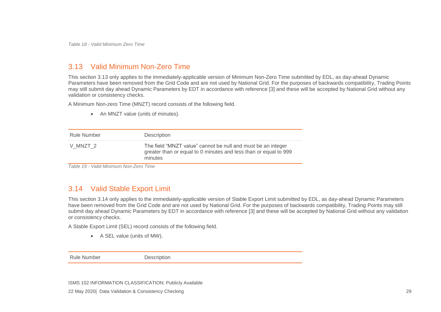*Table 18 - Valid Minimum Zero Time*

#### 3.13 Valid Minimum Non-Zero Time

This section 3.13 only applies to the immediately-applicable version of Minimum Non-Zero Time submitted by EDL, as day-ahead Dynamic Parameters have been removed from the Grid Code and are not used by National Grid. For the purposes of backwards compatibility, Trading Points may still submit day ahead Dynamic Parameters by EDT in accordance with reference [3] and these will be accepted by National Grid without any validation or consistency checks.

A Minimum Non-zero Time (MNZT) record consists of the following field.

• An MNZT value (units of minutes).

| Rule Number | Description                                                                                                                                 |
|-------------|---------------------------------------------------------------------------------------------------------------------------------------------|
| V MNZT 2    | The field "MNZT value" cannot be null and must be an integer<br>greater than or equal to 0 minutes and less than or equal to 999<br>minutes |

*Table 19 - Valid Minimum Non-Zero Time*

#### <span id="page-29-0"></span>3.14 Valid Stable Export Limit

This section 3.14 only applies to the immediately-applicable version of Stable Export Limit submitted by EDL, as day-ahead Dynamic Parameters have been removed from the Grid Code and are not used by National Grid. For the purposes of backwards compatibility, Trading Points may still submit day ahead Dynamic Parameters by EDT in accordance with reference [3] and these will be accepted by National Grid without any validation or consistency checks.

A Stable Export Limit (SEL) record consists of the following field.

• A SEL value (units of MW).

<span id="page-29-1"></span>Rule Number Description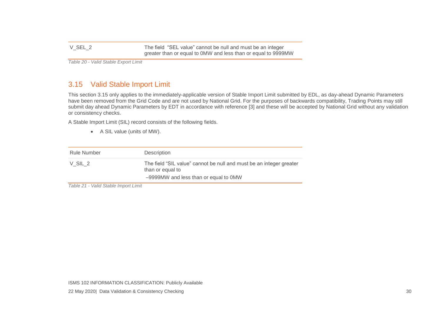V SEL 2 The field "SEL value" cannot be null and must be an integer greater than or equal to 0MW and less than or equal to 9999MW

*Table 20 - Valid Stable Export Limit*

# 3.15 Valid Stable Import Limit

This section 3.15 only applies to the immediately-applicable version of Stable Import Limit submitted by EDL, as day-ahead Dynamic Parameters have been removed from the Grid Code and are not used by National Grid. For the purposes of backwards compatibility, Trading Points may still submit day ahead Dynamic Parameters by EDT in accordance with reference [3] and these will be accepted by National Grid without any validation or consistency checks.

A Stable Import Limit (SIL) record consists of the following fields.

• A SIL value (units of MW).

| Rule Number | Description                                                                                                                      |
|-------------|----------------------------------------------------------------------------------------------------------------------------------|
| V SIL 2     | The field "SIL value" cannot be null and must be an integer greater<br>than or equal to<br>-9999MW and less than or equal to 0MW |

<span id="page-30-0"></span>*Table 21 - Valid Stable Import Limit*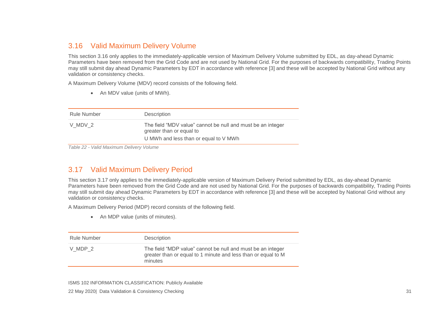## 3.16 Valid Maximum Delivery Volume

This section 3.16 only applies to the immediately-applicable version of Maximum Delivery Volume submitted by EDL, as day-ahead Dynamic Parameters have been removed from the Grid Code and are not used by National Grid. For the purposes of backwards compatibility, Trading Points may still submit day ahead Dynamic Parameters by EDT in accordance with reference [3] and these will be accepted by National Grid without any validation or consistency checks.

A Maximum Delivery Volume (MDV) record consists of the following field.

• An MDV value (units of MWh).

| <b>Rule Number</b> | Description                                                                                                                      |
|--------------------|----------------------------------------------------------------------------------------------------------------------------------|
| V MDV 2            | The field "MDV value" cannot be null and must be an integer<br>greater than or equal to<br>U MWh and less than or equal to V MWh |

*Table 22 - Valid Maximum Delivery Volume*

#### <span id="page-31-0"></span>3.17 Valid Maximum Delivery Period

This section 3.17 only applies to the immediately-applicable version of Maximum Delivery Period submitted by EDL, as day-ahead Dynamic Parameters have been removed from the Grid Code and are not used by National Grid. For the purposes of backwards compatibility, Trading Points may still submit day ahead Dynamic Parameters by EDT in accordance with reference [3] and these will be accepted by National Grid without any validation or consistency checks.

A Maximum Delivery Period (MDP) record consists of the following field.

• An MDP value (units of minutes).

<span id="page-31-1"></span>

| Rule Number | Description                                                                                                                             |
|-------------|-----------------------------------------------------------------------------------------------------------------------------------------|
| V MDP 2     | The field "MDP value" cannot be null and must be an integer<br>greater than or equal to 1 minute and less than or equal to M<br>minutes |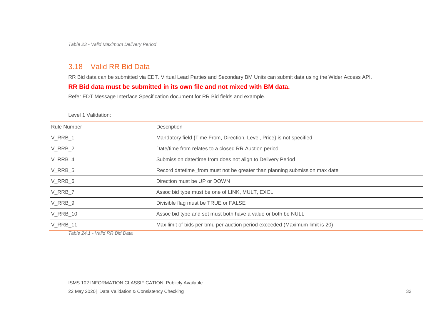*Table 23 - Valid Maximum Delivery Period*

# 3.18 Valid RR Bid Data

RR Bid data can be submitted via EDT. Virtual Lead Parties and Secondary BM Units can submit data using the Wider Access API.

#### **RR Bid data must be submitted in its own file and not mixed with BM data.**

Refer EDT Message Interface Specification document for RR Bid fields and example.

Level 1 Validation:

| Rule Number     | Description                                                                 |
|-----------------|-----------------------------------------------------------------------------|
| V_RRB_1         | Mandatory field {Time From, Direction, Level, Price} is not specified       |
| V_RRB_2         | Date/time from relates to a closed RR Auction period                        |
| V RRB 4         | Submission date/time from does not align to Delivery Period                 |
| V RRB 5         | Record datetime_from must not be greater than planning submission max date  |
| V_RRB_6         | Direction must be UP or DOWN                                                |
| V RRB 7         | Assoc bid type must be one of LINK, MULT, EXCL                              |
| V RRB 9         | Divisible flag must be TRUE or FALSE                                        |
| <b>V_RRB_10</b> | Assoc bid type and set must both have a value or both be NULL               |
| <b>V_RRB_11</b> | Max limit of bids per bmu per auction period exceeded (Maximum limit is 20) |
|                 |                                                                             |

<span id="page-32-0"></span>*Table 24.1 - Valid RR Bid Data*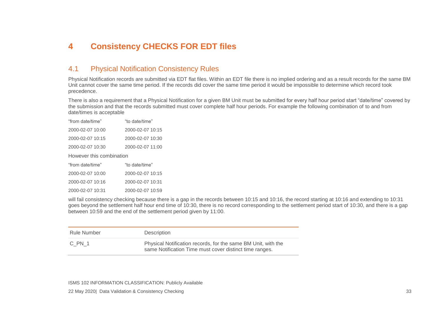# **4 Consistency CHECKS FOR EDT files**

#### 4.1 Physical Notification Consistency Rules

Physical Notification records are submitted via EDT flat files. Within an EDT file there is no implied ordering and as a result records for the same BM Unit cannot cover the same time period. If the records did cover the same time period it would be impossible to determine which record took precedence.

There is also a requirement that a Physical Notification for a given BM Unit must be submitted for every half hour period start "date/time" covered by the submission and that the records submitted must cover complete half hour periods. For example the following combination of to and from date/times is acceptable

| "from date/time"         | "to date/time"   |  |
|--------------------------|------------------|--|
| 2000-02-07 10:00         | 2000-02-07 10:15 |  |
| 2000-02-07 10:15         | 2000-02-07 10:30 |  |
| 2000-02-07 10:30         | 2000-02-07 11:00 |  |
| However this combination |                  |  |
| "from date/time"         | "to date/time"   |  |
| 2000-02-07 10:00         | 2000-02-07 10:15 |  |
|                          |                  |  |

<span id="page-33-0"></span>2000-02-07 10:31 2000-02-07 10:59

<span id="page-33-1"></span>will fail consistency checking because there is a gap in the records between 10:15 and 10:16, the record starting at 10:16 and extending to 10:31 goes beyond the settlement half hour end time of 10:30, there is no record corresponding to the settlement period start of 10:30, and there is a gap between 10:59 and the end of the settlement period given by 11:00.

| Rule Number | Description                                                                                                              |
|-------------|--------------------------------------------------------------------------------------------------------------------------|
| C PN 1      | Physical Notification records, for the same BM Unit, with the<br>same Notification Time must cover distinct time ranges. |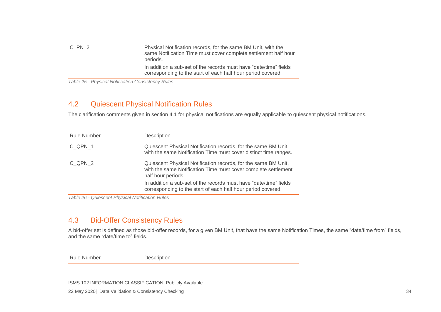| C PN 2 | Physical Notification records, for the same BM Unit, with the<br>same Notification Time must cover complete settlement half hour<br>periods. |
|--------|----------------------------------------------------------------------------------------------------------------------------------------------|
|        | In addition a sub-set of the records must have "date/time" fields<br>corresponding to the start of each half hour period covered.            |

*Table 25 - Physical Notification Consistency Rules*

#### 4.2 Quiescent Physical Notification Rules

The clarification comments given in section 4.1 for physical notifications are equally applicable to quiescent physical notifications.

| <b>Rule Number</b> | Description                                                                                                                                            |
|--------------------|--------------------------------------------------------------------------------------------------------------------------------------------------------|
| C QPN 1            | Quiescent Physical Notification records, for the same BM Unit,<br>with the same Notification Time must cover distinct time ranges.                     |
| C QPN 2            | Quiescent Physical Notification records, for the same BM Unit,<br>with the same Notification Time must cover complete settlement<br>half hour periods. |
|                    | In addition a sub-set of the records must have "date/time" fields<br>corresponding to the start of each half hour period covered.                      |

*Table 26 - Quiescent Physical Notification Rules*

#### 4.3 Bid-Offer Consistency Rules

<span id="page-34-0"></span>A bid-offer set is defined as those bid-offer records, for a given BM Unit, that have the same Notification Times, the same "date/time from" fields, and the same "date/time to" fields.

<span id="page-34-1"></span>Rule Number Description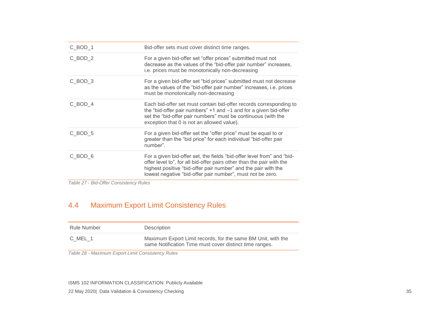| $C_BOD_1$ | Bid-offer sets must cover distinct time ranges.                                                                                                                                                                                                                                 |
|-----------|---------------------------------------------------------------------------------------------------------------------------------------------------------------------------------------------------------------------------------------------------------------------------------|
| $C_BOD_2$ | For a given bid-offer set "offer prices" submitted must not<br>decrease as the values of the "bid-offer pair number" increases,<br>i.e. prices must be monotonically non-decreasing                                                                                             |
| C BOD 3   | For a given bid-offer set "bid prices" submitted must not decrease<br>as the values of the "bid-offer pair number" increases, i.e. prices<br>must be monotonically non-decreasing                                                                                               |
| C BOD 4   | Each bid-offer set must contain bid-offer records corresponding to<br>the "bid-offer pair numbers" $+1$ and $-1$ and for a given bid-offer<br>set the "bid-offer pair numbers" must be continuous (with the<br>exception that 0 is not an allowed value).                       |
| C BOD 5   | For a given bid-offer set the "offer price" must be equal to or<br>greater than the "bid price" for each individual "bid-offer pair<br>number".                                                                                                                                 |
| C BOD 6   | For a given bid-offer set, the fields "bid-offer level from" and "bid-<br>offer level to", for all bid-offer pairs other than the pair with the<br>highest positive "bid-offer pair number" and the pair with the<br>lowest negative "bid-offer pair number", must not be zero. |

*Table 27 - Bid-Offer Consistency Rules*

# 4.4 Maximum Export Limit Consistency Rules

| Rule Number | Description                                                                                                             |
|-------------|-------------------------------------------------------------------------------------------------------------------------|
| C MEL 1     | Maximum Export Limit records, for the same BM Unit, with the<br>same Notification Time must cover distinct time ranges. |

<span id="page-35-0"></span>*Table 28 - Maximum Export Limit Consistency Rules*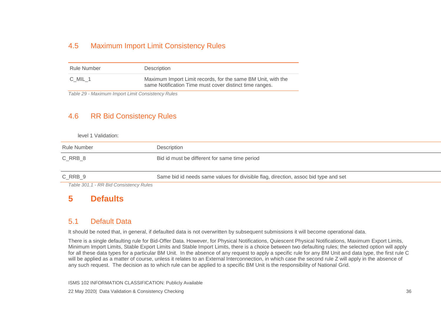#### 4.5 Maximum Import Limit Consistency Rules

| Rule Number | Description                                                                                                             |
|-------------|-------------------------------------------------------------------------------------------------------------------------|
| C MIL 1     | Maximum Import Limit records, for the same BM Unit, with the<br>same Notification Time must cover distinct time ranges. |

*Table 29 - Maximum Import Limit Consistency Rules*

#### 4.6 RR Bid Consistency Rules

level 1 Validation:

| Rule Number                                  | Description                                                                         |
|----------------------------------------------|-------------------------------------------------------------------------------------|
| C RRB 8                                      | Bid id must be different for same time period                                       |
| C RRB 9                                      | Same bid id needs same values for divisible flag, direction, assoc bid type and set |
| $T - L = 0.04$ $A = \Box \Box \Box L = 0.01$ |                                                                                     |

<span id="page-36-0"></span>*Table 301.1 - RR Bid Consistency Rules*

# **5 Defaults**

#### 5.1 Default Data

It should be noted that, in general, if defaulted data is not overwritten by subsequent submissions it will become operational data.

<span id="page-36-3"></span><span id="page-36-2"></span><span id="page-36-1"></span>There is a single defaulting rule for Bid-Offer Data. However, for Physical Notifications, Quiescent Physical Notifications, Maximum Export Limits, Minimum Import Limits, Stable Export Limits and Stable Import Limits, there is a choice between two defaulting rules; the selected option will apply for all these data types for a particular BM Unit. In the absence of any request to apply a specific rule for any BM Unit and data type, the first rule C will be applied as a matter of course, unless it relates to an External Interconnection, in which case the second rule Z will apply in the absence of any such request. The decision as to which rule can be applied to a specific BM Unit is the responsibility of National Grid.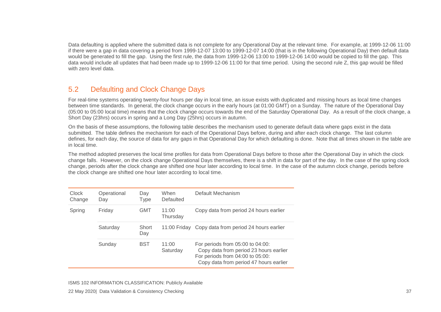Data defaulting is applied where the submitted data is not complete for any Operational Day at the relevant time. For example, at 1999-12-06 11:00 if there were a gap in data covering a period from 1999-12-07 13:00 to 1999-12-07 14:00 (that is in the following Operational Day) then default data would be generated to fill the gap. Using the first rule, the data from 1999-12-06 13:00 to 1999-12-06 14:00 would be copied to fill the gap. This data would include all updates that had been made up to 1999-12-06 11:00 for that time period. Using the second rule Z, this gap would be filled with zero level data.

# 5.2 Defaulting and Clock Change Days

For real-time systems operating twenty-four hours per day in local time, an issue exists with duplicated and missing hours as local time changes between time standards. In general, the clock change occurs in the early hours (at 01:00 GMT) on a Sunday. The nature of the Operational Day (05:00 to 05:00 local time) means that the clock change occurs towards the end of the Saturday Operational Day. As a result of the clock change, a Short Day (23hrs) occurs in spring and a Long Day (25hrs) occurs in autumn.

On the basis of these assumptions, the following table describes the mechanism used to generate default data where gaps exist in the data submitted. The table defines the mechanism for each of the Operational Days before, during and after each clock change. The last column defines, for each day, the source of data for any gaps in that Operational Day for which defaulting is done. Note that all times shown in the table are in local time.

The method adopted preserves the local time profiles for data from Operational Days before to those after the Operational Day in which the clock change falls. However, on the clock change Operational Days themselves, there is a shift in data for part of the day. In the case of the spring clock change, periods after the clock change are shifted one hour later according to local time. In the case of the autumn clock change, periods before the clock change are shifted one hour later according to local time.

<span id="page-37-0"></span>

| <b>Clock</b><br>Change | Operational<br>Day | Day<br><b>Type</b> | When<br><b>Defaulted</b> | Default Mechanism                                                                                                                                        |
|------------------------|--------------------|--------------------|--------------------------|----------------------------------------------------------------------------------------------------------------------------------------------------------|
| Spring                 | Friday             | GMT                | 11:00<br>Thursday        | Copy data from period 24 hours earlier                                                                                                                   |
|                        | Saturday           | Short<br>Day       |                          | 11:00 Friday Copy data from period 24 hours earlier                                                                                                      |
|                        | Sunday             | <b>BST</b>         | 11:00<br>Saturday        | For periods from 05:00 to 04:00:<br>Copy data from period 23 hours earlier<br>For periods from 04:00 to 05:00:<br>Copy data from period 47 hours earlier |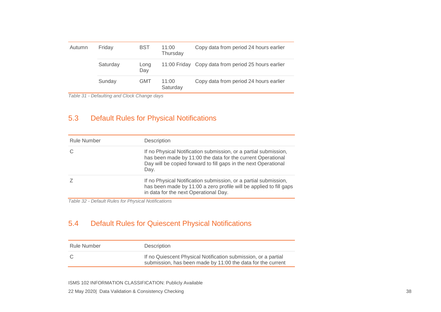| Autumn | <b>BST</b><br>Friday |             | 11:00<br>Thursday | Copy data from period 24 hours earlier              |
|--------|----------------------|-------------|-------------------|-----------------------------------------------------|
|        | Saturday             | Long<br>Day |                   | 11:00 Friday Copy data from period 25 hours earlier |
|        | Sunday               | <b>GMT</b>  | 11:00<br>Saturday | Copy data from period 24 hours earlier              |

*Table 31 - Defaulting and Clock Change days*

## 5.3 Default Rules for Physical Notifications

| <b>Rule Number</b> | Description                                                                                                                                                                                                |
|--------------------|------------------------------------------------------------------------------------------------------------------------------------------------------------------------------------------------------------|
|                    | If no Physical Notification submission, or a partial submission,<br>has been made by 11:00 the data for the current Operational<br>Day will be copied forward to fill gaps in the next Operational<br>Day. |
|                    | If no Physical Notification submission, or a partial submission,<br>has been made by 11:00 a zero profile will be applied to fill gaps<br>in data for the next Operational Day.                            |

*Table 32 - Default Rules for Physical Notifications*

# 5.4 Default Rules for Quiescent Physical Notifications

<span id="page-38-1"></span><span id="page-38-0"></span>

| Rule Number | <b>Description</b>                                                                                                            |
|-------------|-------------------------------------------------------------------------------------------------------------------------------|
| - C         | If no Quiescent Physical Notification submission, or a partial<br>submission, has been made by 11:00 the data for the current |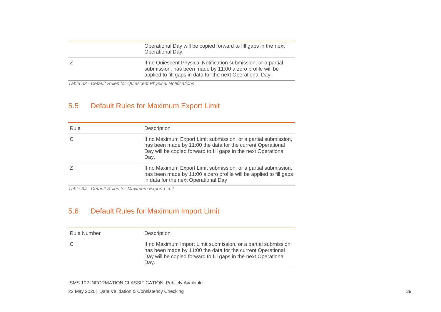| Operational Day will be copied forward to fill gaps in the next<br>Operational Day.                                                                                                       |
|-------------------------------------------------------------------------------------------------------------------------------------------------------------------------------------------|
| If no Quiescent Physical Notification submission, or a partial<br>submission, has been made by 11:00 a zero profile will be<br>applied to fill gaps in data for the next Operational Day. |

*Table 33 - Default Rules for Quiescent Physical Notifications*

# 5.5 Default Rules for Maximum Export Limit

| Rule | Description                                                                                                                                                                                               |
|------|-----------------------------------------------------------------------------------------------------------------------------------------------------------------------------------------------------------|
|      | If no Maximum Export Limit submission, or a partial submission,<br>has been made by 11:00 the data for the current Operational<br>Day will be copied forward to fill gaps in the next Operational<br>Day. |
|      | If no Maximum Export Limit submission, or a partial submission,<br>has been made by 11:00 a zero profile will be applied to fill gaps<br>in data for the next Operational Day                             |

*Table 34 - Default Rules for Maximum Export Limit*

# 5.6 Default Rules for Maximum Import Limit

<span id="page-39-1"></span><span id="page-39-0"></span>

| <b>Rule Number</b> | Description                                                                                                                                                                                               |
|--------------------|-----------------------------------------------------------------------------------------------------------------------------------------------------------------------------------------------------------|
|                    | If no Maximum Import Limit submission, or a partial submission,<br>has been made by 11:00 the data for the current Operational<br>Day will be copied forward to fill gaps in the next Operational<br>Day. |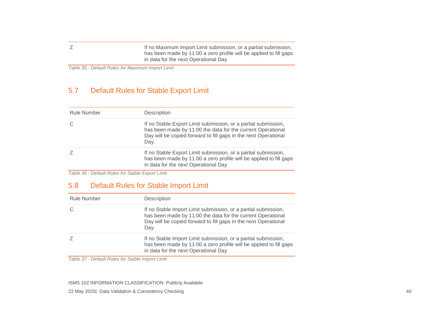Z If no Maximum Import Limit submission, or a partial submission, has been made by 11:00 a zero profile will be applied to fill gaps in data for the next Operational Day

*Table 35 - Default Rules for Maximum Import Limit*

#### 5.7 Default Rules for Stable Export Limit

| <b>Rule Number</b> | <b>Description</b>                                                                                                                                                                                       |
|--------------------|----------------------------------------------------------------------------------------------------------------------------------------------------------------------------------------------------------|
|                    | If no Stable Export Limit submission, or a partial submission,<br>has been made by 11:00 the data for the current Operational<br>Day will be copied forward to fill gaps in the next Operational<br>Day. |
|                    | If no Stable Export Limit submission, or a partial submission,<br>has been made by 11:00 a zero profile will be applied to fill gaps<br>in data for the next Operational Day                             |

*Table 36 - Default Rules for Stable Export Limit*

# 5.8 Default Rules for Stable Import Limit

<span id="page-40-0"></span>

| Rule Number | Description                                                                                                                                                                                              |
|-------------|----------------------------------------------------------------------------------------------------------------------------------------------------------------------------------------------------------|
|             | If no Stable Import Limit submission, or a partial submission,<br>has been made by 11:00 the data for the current Operational<br>Day will be copied forward to fill gaps in the next Operational<br>Day. |
|             | If no Stable Import Limit submission, or a partial submission,<br>has been made by 11:00 a zero profile will be applied to fill gaps<br>in data for the next Operational Day                             |

<span id="page-40-1"></span>*Table 37 - Default Rules for Stable Import Limit*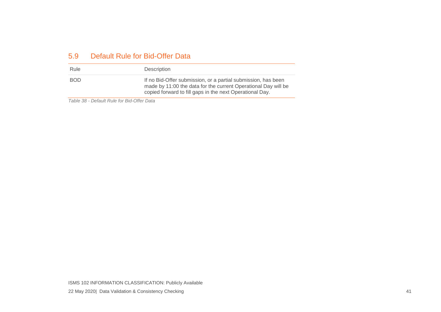#### 5.9 Default Rule for Bid-Offer Data

| Rule       | Description                                                                                                                                                                                 |
|------------|---------------------------------------------------------------------------------------------------------------------------------------------------------------------------------------------|
| <b>BOD</b> | If no Bid-Offer submission, or a partial submission, has been<br>made by 11:00 the data for the current Operational Day will be<br>copied forward to fill gaps in the next Operational Day. |

<span id="page-41-0"></span>*Table 38 - Default Rule for Bid-Offer Data*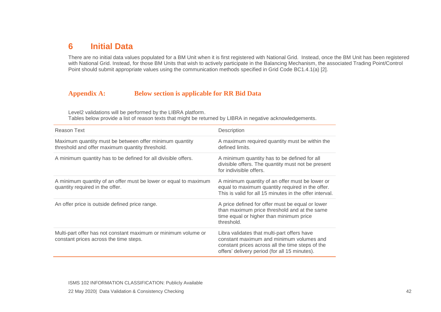# **6 Initial Data**

There are no initial data values populated for a BM Unit when it is first registered with National Grid. Instead, once the BM Unit has been registered with National Grid. Instead, for those BM Units that wish to actively participate in the Balancing Mechanism, the associated Trading Point/Control Point should submit appropriate values using the communication methods specified in Grid Code BC1.4.1(a) [2].

#### **Appendix A: Below section is applicable for RR Bid Data**

Level2 validations will be performed by the LIBRA platform.

Tables below provide a list of reason texts that might be returned by LIBRA in negative acknowledgements.

<span id="page-42-1"></span><span id="page-42-0"></span>

| Reason Text                                                                                                | Description                                                                                                                                                                                  |
|------------------------------------------------------------------------------------------------------------|----------------------------------------------------------------------------------------------------------------------------------------------------------------------------------------------|
| Maximum quantity must be between offer minimum quantity<br>threshold and offer maximum quantity threshold. | A maximum required quantity must be within the<br>defined limits.                                                                                                                            |
| A minimum quantity has to be defined for all divisible offers.                                             | A minimum quantity has to be defined for all<br>divisible offers. The quantity must not be present<br>for indivisible offers.                                                                |
| A minimum quantity of an offer must be lower or equal to maximum<br>quantity required in the offer.        | A minimum quantity of an offer must be lower or<br>equal to maximum quantity required in the offer.<br>This is valid for all 15 minutes in the offer interval.                               |
| An offer price is outside defined price range.                                                             | A price defined for offer must be equal or lower<br>than maximum price threshold and at the same<br>time equal or higher than minimum price<br>threshold.                                    |
| Multi-part offer has not constant maximum or minimum volume or<br>constant prices across the time steps.   | Libra validates that multi-part offers have<br>constant maximum and minimum volumes and<br>constant prices across all the time steps of the<br>offers' delivery period (for all 15 minutes). |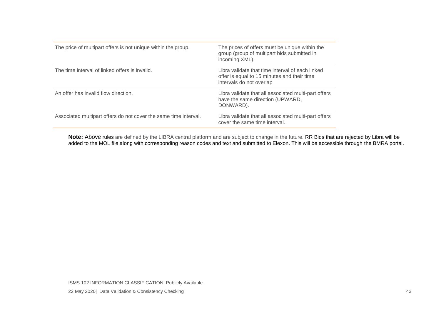| The price of multipart offers is not unique within the group.    | The prices of offers must be unique within the<br>group (group of multipart bids submitted in<br>incoming XML).             |
|------------------------------------------------------------------|-----------------------------------------------------------------------------------------------------------------------------|
| The time interval of linked offers is invalid.                   | Libra validate that time interval of each linked<br>offer is equal to 15 minutes and their time<br>intervals do not overlap |
| An offer has invalid flow direction.                             | Libra validate that all associated multi-part offers<br>have the same direction (UPWARD,<br>DONWARD).                       |
| Associated multipart offers do not cover the same time interval. | Libra validate that all associated multi-part offers<br>cover the same time interval.                                       |

**Note:** Above rules are defined by the LIBRA central platform and are subject to change in the future. RR Bids that are rejected by Libra will be added to the MOL file along with corresponding reason codes and text and submitted to Elexon. This will be accessible through the BMRA portal.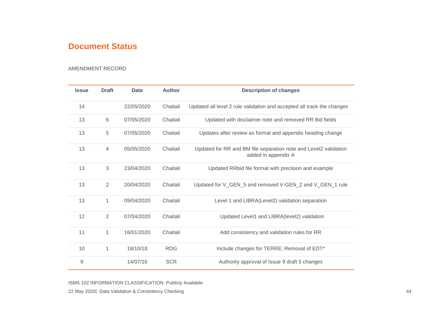# **Document Status**

#### AMENDMENT RECORD

<span id="page-44-0"></span>

| <b>Issue</b> | <b>Draft</b>   | Date       | <b>Author</b> | <b>Description of changes</b>                                                           |
|--------------|----------------|------------|---------------|-----------------------------------------------------------------------------------------|
| 14           |                | 22/05/2020 | Chaitali      | Updated all level 2 rule validation and accepted all track the changes                  |
| 13           | 6              | 07/05/2020 | Chaitali      | Updated with disclaimer note and removed RR Bid fields                                  |
| 13           | 5              | 07/05/2020 | Chaitali      | Updates after review as format and appendix heading change                              |
| 13           | $\overline{4}$ | 05/05/2020 | Chaitali      | Updated for RR and BM file separation note and Level2 validation<br>added in appendix A |
| 13           | 3              | 23/04/2020 | Chaitali      | Updated RRbid file format with precision and example                                    |
| 13           | $\overline{2}$ | 20/04/2020 | Chaitali      | Updated for V_GEN_5 and removed V-GEN_2 and V_GEN_1 rule                                |
| 13           | 1              | 09/04/2020 | Chaitali      | Level 1 and LIBRA(Level2) validation separation                                         |
| 12           | $\overline{2}$ | 07/04/2020 | Chaitali      | Updated Level1 and LIBRA(level2) validation                                             |
| 11           | 1              | 16/01/2020 | Chaitali      | Add consistency and validation rules for RR                                             |
| 10           | 1              | 18/10/18   | <b>RDG</b>    | Include changes for TERRE; Removal of EDT*                                              |
| $\mathsf 9$  |                | 14/07/16   | <b>SCR</b>    | Authority approval of Issue 9 draft 5 changes                                           |

ISMS 102 INFORMATION CLASSIFICATION: Publicly Available

May 2020| Data Validation & Consistency Checking 44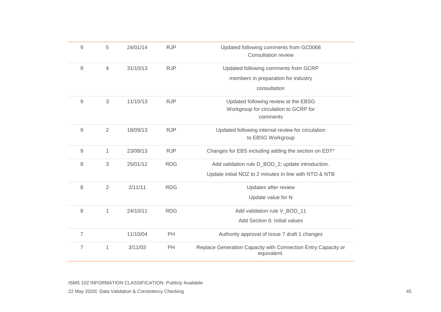| $9$            | 5              | 24/01/14 | <b>RJP</b> | Updated following comments from GC0068<br>Consultation review                |
|----------------|----------------|----------|------------|------------------------------------------------------------------------------|
| $9$            | $\overline{4}$ | 31/10/13 | <b>RJP</b> | Updated following comments from GCRP                                         |
|                |                |          |            | members in preparation for industry                                          |
|                |                |          |            | consultation                                                                 |
| $9$            | 3              | 11/10/13 | <b>RJP</b> | Updated following review at the EBSG                                         |
|                |                |          |            | Workgroup for circulation to GCRP for                                        |
|                |                |          |            | comments                                                                     |
| 9              | $\overline{2}$ | 18/09/13 | <b>RJP</b> | Updated following internal review for circulation                            |
|                |                |          |            | to EBSG Workgroup                                                            |
| 9              | 1              | 23/08/13 | <b>RJP</b> | Changes for EBS including adding the section on EDT*                         |
| 8              | $\mathfrak{S}$ | 25/01/12 | <b>RDG</b> | Add validation rule D_BOD_2; update introduction.                            |
|                |                |          |            | Update initial NDZ to 2 minutes in line with NTO & NTB                       |
| 8              | $\overline{2}$ | 2/11/11  | <b>RDG</b> | Updates after review                                                         |
|                |                |          |            | Update value for N                                                           |
| 8              | $\mathbf{1}$   | 24/10/11 | <b>RDG</b> | Add validation rule V_BOD_11                                                 |
|                |                |          |            | Add Section 6: Initial values                                                |
| $\overline{7}$ |                | 11/10/04 | PH         | Authority approval of Issue 7 draft 1 changes                                |
| $\overline{7}$ | $\mathbf{1}$   | 3/11/03  | PH         | Replace Generation Capacity with Connection Entry Capacity or<br>equivalent. |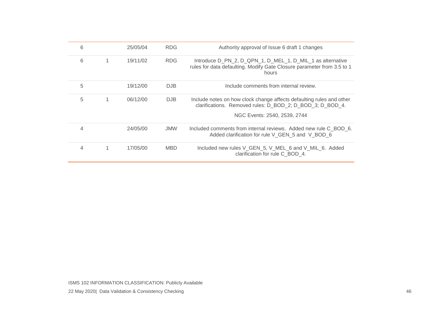| 6 |   | 25/05/04 | <b>RDG</b> | Authority approval of Issue 6 draft 1 changes                                                                                                                     |
|---|---|----------|------------|-------------------------------------------------------------------------------------------------------------------------------------------------------------------|
| 6 | 1 | 19/11/02 | <b>RDG</b> | Introduce D_PN_2, D_QPN_1, D_MEL_1, D_MIL_1 as alternative<br>rules for data defaulting. Modify Gate Closure parameter from 3.5 to 1<br>hours                     |
| 5 |   | 19/12/00 | DJB        | Include comments from internal review.                                                                                                                            |
| 5 | 1 | 06/12/00 | <b>DJB</b> | Include notes on how clock change affects defaulting rules and other<br>clarifications. Removed rules: D BOD 2; D BOD 3; D BOD 4.<br>NGC Events: 2540, 2539, 2744 |
| 4 |   | 24/05/00 | <b>JMW</b> | Included comments from internal reviews. Added new rule C BOD 6.<br>Added clarification for rule V GEN 5 and V BOD 6                                              |
| 4 |   | 17/05/00 | <b>MBD</b> | Included new rules V_GEN_5, V_MEL_6 and V_MIL_6. Added<br>clarification for rule C BOD 4.                                                                         |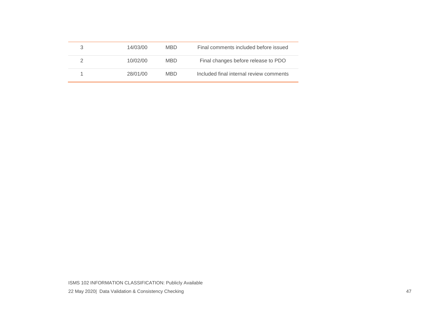| 14/03/00 | MBD. | Final comments included before issued   |
|----------|------|-----------------------------------------|
| 10/02/00 | MBD. | Final changes before release to PDO     |
| 28/01/00 | MBD. | Included final internal review comments |